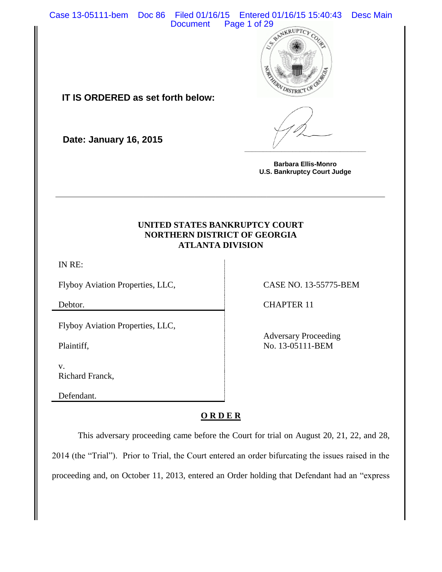Case 13-05111-bem Doc 86 Filed 01/16/15 Entered 01/16/15 15:40:43 Desc Main



**IT IS ORDERED as set forth below:**

**Date: January 16, 2015**

**Barbara Ellis-Monro U.S. Bankruptcy Court Judge**

**\_\_\_\_\_\_\_\_\_\_\_\_\_\_\_\_\_\_\_\_\_\_\_\_\_\_\_\_\_\_\_\_\_**

# **UNITED STATES BANKRUPTCY COURT NORTHERN DISTRICT OF GEORGIA ATLANTA DIVISION**

**\_\_\_\_\_\_\_\_\_\_\_\_\_\_\_\_\_\_\_\_\_\_\_\_\_\_\_\_\_\_\_\_\_\_\_\_\_\_\_\_\_\_\_\_\_\_\_\_\_\_\_\_\_\_\_\_\_\_\_\_\_\_\_\_**

IN RE:

Flyboy Aviation Properties, LLC, CASE NO. 13-55775-BEM

Flyboy Aviation Properties, LLC,

Plaintiff,

v. Richard Franck,

Defendant.

Debtor. CHAPTER 11

Adversary Proceeding No. 13-05111-BEM

## **O R D E R**

This adversary proceeding came before the Court for trial on August 20, 21, 22, and 28, 2014 (the "Trial"). Prior to Trial, the Court entered an order bifurcating the issues raised in the proceeding and, on October 11, 2013, entered an Order holding that Defendant had an "express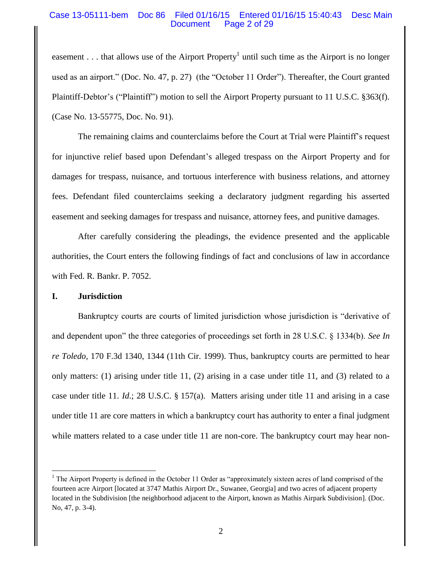## Case 13-05111-bem Doc 86 Filed 01/16/15 Entered 01/16/15 15:40:43 Desc Main Document Page 2 of 29

easement . . . that allows use of the Airport Property<sup>1</sup> until such time as the Airport is no longer used as an airport." (Doc. No. 47, p. 27) (the "October 11 Order"). Thereafter, the Court granted Plaintiff-Debtor's ("Plaintiff") motion to sell the Airport Property pursuant to 11 U.S.C. §363(f). (Case No. 13-55775, Doc. No. 91).

The remaining claims and counterclaims before the Court at Trial were Plaintiff's request for injunctive relief based upon Defendant's alleged trespass on the Airport Property and for damages for trespass, nuisance, and tortuous interference with business relations, and attorney fees. Defendant filed counterclaims seeking a declaratory judgment regarding his asserted easement and seeking damages for trespass and nuisance, attorney fees, and punitive damages.

After carefully considering the pleadings, the evidence presented and the applicable authorities, the Court enters the following findings of fact and conclusions of law in accordance with Fed. R. Bankr. P. 7052.

## **I. Jurisdiction**

Bankruptcy courts are courts of limited jurisdiction whose jurisdiction is "derivative of and dependent upon" the three categories of proceedings set forth in 28 U.S.C. § 1334(b). *See In re Toledo,* 170 F.3d 1340, 1344 (11th Cir. 1999). Thus, bankruptcy courts are permitted to hear only matters: (1) arising under title 11, (2) arising in a case under title 11, and (3) related to a case under title 11. *Id*.; 28 U.S.C. § 157(a). Matters arising under title 11 and arising in a case under title 11 are core matters in which a bankruptcy court has authority to enter a final judgment while matters related to a case under title 11 are non-core. The bankruptcy court may hear non-

 $\overline{\phantom{a}}$ <sup>1</sup> The Airport Property is defined in the October 11 Order as "approximately sixteen acres of land comprised of the fourteen acre Airport [located at 3747 Mathis Airport Dr., Suwanee, Georgia] and two acres of adjacent property located in the Subdivision [the neighborhood adjacent to the Airport, known as Mathis Airpark Subdivision]. (Doc. No, 47, p. 3-4).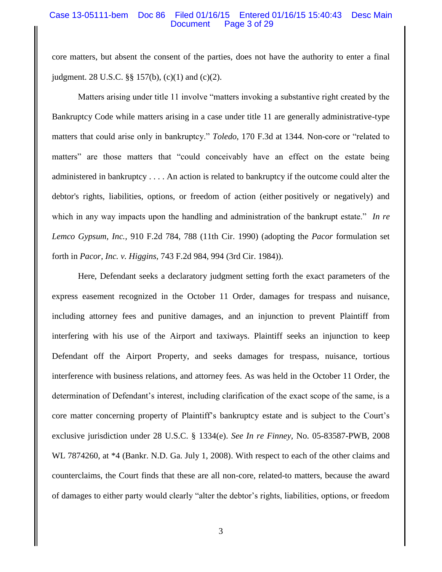### Case 13-05111-bem Doc 86 Filed 01/16/15 Entered 01/16/15 15:40:43 Desc Main Document Page 3 of 29

core matters, but absent the consent of the parties, does not have the authority to enter a final judgment. 28 U.S.C. §§ 157(b), (c)(1) and (c)(2).

Matters arising under title 11 involve "matters invoking a substantive right created by the Bankruptcy Code while matters arising in a case under title 11 are generally administrative-type matters that could arise only in bankruptcy." *Toledo*, 170 F.3d at 1344*.* Non-core or "related to matters" are those matters that "could conceivably have an effect on the estate being administered in bankruptcy . . . . An action is related to bankruptcy if the outcome could alter the debtor's rights, liabilities, options, or freedom of action (either positively or negatively) and which in any way impacts upon the handling and administration of the bankrupt estate." *In re Lemco Gypsum, Inc.,* 910 F.2d 784, 788 (11th Cir. 1990) (adopting the *Pacor* formulation set forth in *Pacor, Inc. v. Higgins,* 743 F.2d 984, 994 (3rd Cir. 1984)).

Here, Defendant seeks a declaratory judgment setting forth the exact parameters of the express easement recognized in the October 11 Order, damages for trespass and nuisance, including attorney fees and punitive damages, and an injunction to prevent Plaintiff from interfering with his use of the Airport and taxiways. Plaintiff seeks an injunction to keep Defendant off the Airport Property, and seeks damages for trespass, nuisance, tortious interference with business relations, and attorney fees. As was held in the October 11 Order, the determination of Defendant's interest, including clarification of the exact scope of the same, is a core matter concerning property of Plaintiff's bankruptcy estate and is subject to the Court's exclusive jurisdiction under 28 U.S.C. § 1334(e). *See In re Finney,* No. 05-83587-PWB, 2008 WL 7874260, at \*4 (Bankr. N.D. Ga. July 1, 2008). With respect to each of the other claims and counterclaims, the Court finds that these are all non-core, related-to matters, because the award of damages to either party would clearly "alter the debtor's rights, liabilities, options, or freedom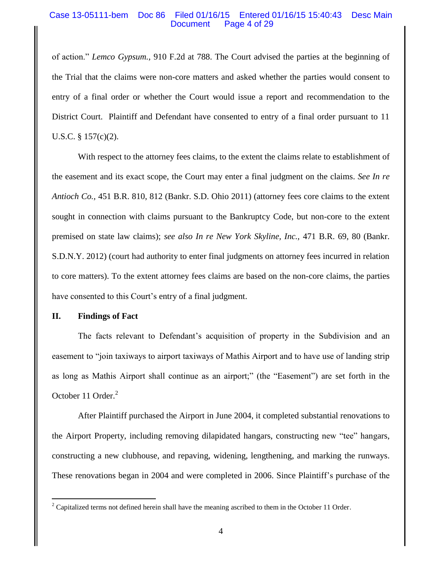### Case 13-05111-bem Doc 86 Filed 01/16/15 Entered 01/16/15 15:40:43 Desc Main Document Page 4 of 29

of action." *Lemco Gypsum.,* 910 F.2d at 788. The Court advised the parties at the beginning of the Trial that the claims were non-core matters and asked whether the parties would consent to entry of a final order or whether the Court would issue a report and recommendation to the District Court. Plaintiff and Defendant have consented to entry of a final order pursuant to 11 U.S.C.  $\S$  157(c)(2).

With respect to the attorney fees claims, to the extent the claims relate to establishment of the easement and its exact scope, the Court may enter a final judgment on the claims. *See In re Antioch Co.,* 451 B.R. 810, 812 (Bankr. S.D. Ohio 2011) (attorney fees core claims to the extent sought in connection with claims pursuant to the Bankruptcy Code, but non-core to the extent premised on state law claims); *see also In re New York Skyline, Inc.,* 471 B.R. 69, 80 (Bankr. S.D.N.Y. 2012) (court had authority to enter final judgments on attorney fees incurred in relation to core matters). To the extent attorney fees claims are based on the non-core claims, the parties have consented to this Court's entry of a final judgment.

## **II. Findings of Fact**

l

The facts relevant to Defendant's acquisition of property in the Subdivision and an easement to "join taxiways to airport taxiways of Mathis Airport and to have use of landing strip as long as Mathis Airport shall continue as an airport;" (the "Easement") are set forth in the October 11 Order.<sup>2</sup>

After Plaintiff purchased the Airport in June 2004, it completed substantial renovations to the Airport Property, including removing dilapidated hangars, constructing new "tee" hangars, constructing a new clubhouse, and repaving, widening, lengthening, and marking the runways. These renovations began in 2004 and were completed in 2006. Since Plaintiff's purchase of the

 $2^2$  Capitalized terms not defined herein shall have the meaning ascribed to them in the October 11 Order.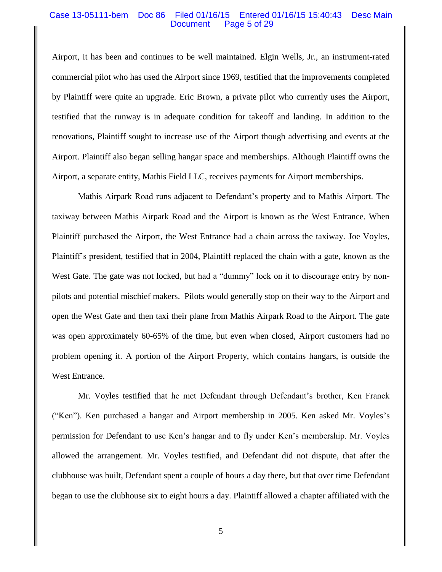#### Case 13-05111-bem Doc 86 Filed 01/16/15 Entered 01/16/15 15:40:43 Desc Main Document Page 5 of 29

Airport, it has been and continues to be well maintained. Elgin Wells, Jr., an instrument-rated commercial pilot who has used the Airport since 1969, testified that the improvements completed by Plaintiff were quite an upgrade. Eric Brown, a private pilot who currently uses the Airport, testified that the runway is in adequate condition for takeoff and landing. In addition to the renovations, Plaintiff sought to increase use of the Airport though advertising and events at the Airport. Plaintiff also began selling hangar space and memberships. Although Plaintiff owns the Airport, a separate entity, Mathis Field LLC, receives payments for Airport memberships.

Mathis Airpark Road runs adjacent to Defendant's property and to Mathis Airport. The taxiway between Mathis Airpark Road and the Airport is known as the West Entrance. When Plaintiff purchased the Airport, the West Entrance had a chain across the taxiway. Joe Voyles, Plaintiff's president, testified that in 2004, Plaintiff replaced the chain with a gate, known as the West Gate. The gate was not locked, but had a "dummy" lock on it to discourage entry by nonpilots and potential mischief makers. Pilots would generally stop on their way to the Airport and open the West Gate and then taxi their plane from Mathis Airpark Road to the Airport. The gate was open approximately 60-65% of the time, but even when closed, Airport customers had no problem opening it. A portion of the Airport Property, which contains hangars, is outside the West Entrance.

Mr. Voyles testified that he met Defendant through Defendant's brother, Ken Franck ("Ken"). Ken purchased a hangar and Airport membership in 2005. Ken asked Mr. Voyles's permission for Defendant to use Ken's hangar and to fly under Ken's membership. Mr. Voyles allowed the arrangement. Mr. Voyles testified, and Defendant did not dispute, that after the clubhouse was built, Defendant spent a couple of hours a day there, but that over time Defendant began to use the clubhouse six to eight hours a day. Plaintiff allowed a chapter affiliated with the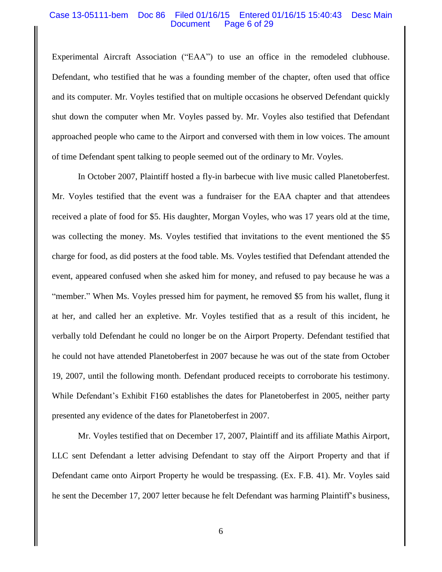### Case 13-05111-bem Doc 86 Filed 01/16/15 Entered 01/16/15 15:40:43 Desc Main Document Page 6 of 29

Experimental Aircraft Association ("EAA") to use an office in the remodeled clubhouse. Defendant, who testified that he was a founding member of the chapter, often used that office and its computer. Mr. Voyles testified that on multiple occasions he observed Defendant quickly shut down the computer when Mr. Voyles passed by. Mr. Voyles also testified that Defendant approached people who came to the Airport and conversed with them in low voices. The amount of time Defendant spent talking to people seemed out of the ordinary to Mr. Voyles.

In October 2007, Plaintiff hosted a fly-in barbecue with live music called Planetoberfest. Mr. Voyles testified that the event was a fundraiser for the EAA chapter and that attendees received a plate of food for \$5. His daughter, Morgan Voyles, who was 17 years old at the time, was collecting the money. Ms. Voyles testified that invitations to the event mentioned the \$5 charge for food, as did posters at the food table. Ms. Voyles testified that Defendant attended the event, appeared confused when she asked him for money, and refused to pay because he was a "member." When Ms. Voyles pressed him for payment, he removed \$5 from his wallet, flung it at her, and called her an expletive. Mr. Voyles testified that as a result of this incident, he verbally told Defendant he could no longer be on the Airport Property. Defendant testified that he could not have attended Planetoberfest in 2007 because he was out of the state from October 19, 2007, until the following month. Defendant produced receipts to corroborate his testimony. While Defendant's Exhibit F160 establishes the dates for Planetoberfest in 2005, neither party presented any evidence of the dates for Planetoberfest in 2007.

Mr. Voyles testified that on December 17, 2007, Plaintiff and its affiliate Mathis Airport, LLC sent Defendant a letter advising Defendant to stay off the Airport Property and that if Defendant came onto Airport Property he would be trespassing. (Ex. F.B. 41). Mr. Voyles said he sent the December 17, 2007 letter because he felt Defendant was harming Plaintiff's business,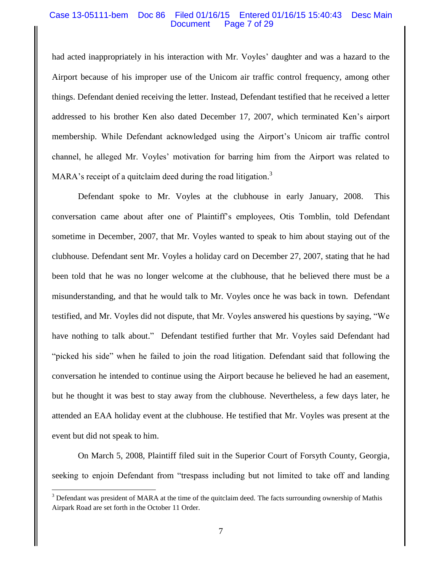### Case 13-05111-bem Doc 86 Filed 01/16/15 Entered 01/16/15 15:40:43 Desc Main Document Page 7 of 29

had acted inappropriately in his interaction with Mr. Voyles' daughter and was a hazard to the Airport because of his improper use of the Unicom air traffic control frequency, among other things. Defendant denied receiving the letter. Instead, Defendant testified that he received a letter addressed to his brother Ken also dated December 17, 2007, which terminated Ken's airport membership. While Defendant acknowledged using the Airport's Unicom air traffic control channel, he alleged Mr. Voyles' motivation for barring him from the Airport was related to MARA's receipt of a quitclaim deed during the road litigation.<sup>3</sup>

Defendant spoke to Mr. Voyles at the clubhouse in early January, 2008. This conversation came about after one of Plaintiff's employees, Otis Tomblin, told Defendant sometime in December, 2007, that Mr. Voyles wanted to speak to him about staying out of the clubhouse. Defendant sent Mr. Voyles a holiday card on December 27, 2007, stating that he had been told that he was no longer welcome at the clubhouse, that he believed there must be a misunderstanding, and that he would talk to Mr. Voyles once he was back in town. Defendant testified, and Mr. Voyles did not dispute, that Mr. Voyles answered his questions by saying, "We have nothing to talk about." Defendant testified further that Mr. Voyles said Defendant had "picked his side" when he failed to join the road litigation. Defendant said that following the conversation he intended to continue using the Airport because he believed he had an easement, but he thought it was best to stay away from the clubhouse. Nevertheless, a few days later, he attended an EAA holiday event at the clubhouse. He testified that Mr. Voyles was present at the event but did not speak to him.

On March 5, 2008, Plaintiff filed suit in the Superior Court of Forsyth County, Georgia, seeking to enjoin Defendant from "trespass including but not limited to take off and landing

 $\overline{a}$ 

<sup>&</sup>lt;sup>3</sup> Defendant was president of MARA at the time of the quitclaim deed. The facts surrounding ownership of Mathis Airpark Road are set forth in the October 11 Order.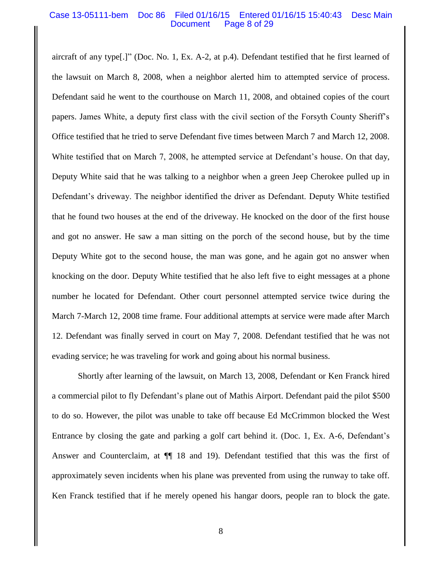#### Case 13-05111-bem Doc 86 Filed 01/16/15 Entered 01/16/15 15:40:43 Desc Main Document Page 8 of 29

aircraft of any type[.]" (Doc. No. 1, Ex. A-2, at p.4). Defendant testified that he first learned of the lawsuit on March 8, 2008, when a neighbor alerted him to attempted service of process. Defendant said he went to the courthouse on March 11, 2008, and obtained copies of the court papers. James White, a deputy first class with the civil section of the Forsyth County Sheriff's Office testified that he tried to serve Defendant five times between March 7 and March 12, 2008. White testified that on March 7, 2008, he attempted service at Defendant's house. On that day, Deputy White said that he was talking to a neighbor when a green Jeep Cherokee pulled up in Defendant's driveway. The neighbor identified the driver as Defendant. Deputy White testified that he found two houses at the end of the driveway. He knocked on the door of the first house and got no answer. He saw a man sitting on the porch of the second house, but by the time Deputy White got to the second house, the man was gone, and he again got no answer when knocking on the door. Deputy White testified that he also left five to eight messages at a phone number he located for Defendant. Other court personnel attempted service twice during the March 7-March 12, 2008 time frame. Four additional attempts at service were made after March 12. Defendant was finally served in court on May 7, 2008. Defendant testified that he was not evading service; he was traveling for work and going about his normal business.

Shortly after learning of the lawsuit, on March 13, 2008, Defendant or Ken Franck hired a commercial pilot to fly Defendant's plane out of Mathis Airport. Defendant paid the pilot \$500 to do so. However, the pilot was unable to take off because Ed McCrimmon blocked the West Entrance by closing the gate and parking a golf cart behind it. (Doc. 1, Ex. A-6, Defendant's Answer and Counterclaim, at  $\P$  18 and 19). Defendant testified that this was the first of approximately seven incidents when his plane was prevented from using the runway to take off. Ken Franck testified that if he merely opened his hangar doors, people ran to block the gate.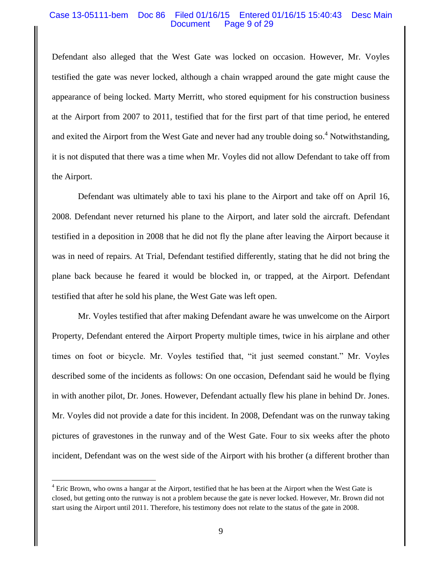### Case 13-05111-bem Doc 86 Filed 01/16/15 Entered 01/16/15 15:40:43 Desc Main Document Page 9 of 29

Defendant also alleged that the West Gate was locked on occasion. However, Mr. Voyles testified the gate was never locked, although a chain wrapped around the gate might cause the appearance of being locked. Marty Merritt, who stored equipment for his construction business at the Airport from 2007 to 2011, testified that for the first part of that time period, he entered and exited the Airport from the West Gate and never had any trouble doing so.<sup>4</sup> Notwithstanding, it is not disputed that there was a time when Mr. Voyles did not allow Defendant to take off from the Airport.

Defendant was ultimately able to taxi his plane to the Airport and take off on April 16, 2008. Defendant never returned his plane to the Airport, and later sold the aircraft. Defendant testified in a deposition in 2008 that he did not fly the plane after leaving the Airport because it was in need of repairs. At Trial, Defendant testified differently, stating that he did not bring the plane back because he feared it would be blocked in, or trapped, at the Airport. Defendant testified that after he sold his plane, the West Gate was left open.

Mr. Voyles testified that after making Defendant aware he was unwelcome on the Airport Property, Defendant entered the Airport Property multiple times, twice in his airplane and other times on foot or bicycle. Mr. Voyles testified that, "it just seemed constant." Mr. Voyles described some of the incidents as follows: On one occasion, Defendant said he would be flying in with another pilot, Dr. Jones. However, Defendant actually flew his plane in behind Dr. Jones. Mr. Voyles did not provide a date for this incident. In 2008, Defendant was on the runway taking pictures of gravestones in the runway and of the West Gate. Four to six weeks after the photo incident, Defendant was on the west side of the Airport with his brother (a different brother than

 $\overline{\phantom{a}}$ 

<sup>&</sup>lt;sup>4</sup> Eric Brown, who owns a hangar at the Airport, testified that he has been at the Airport when the West Gate is closed, but getting onto the runway is not a problem because the gate is never locked. However, Mr. Brown did not start using the Airport until 2011. Therefore, his testimony does not relate to the status of the gate in 2008.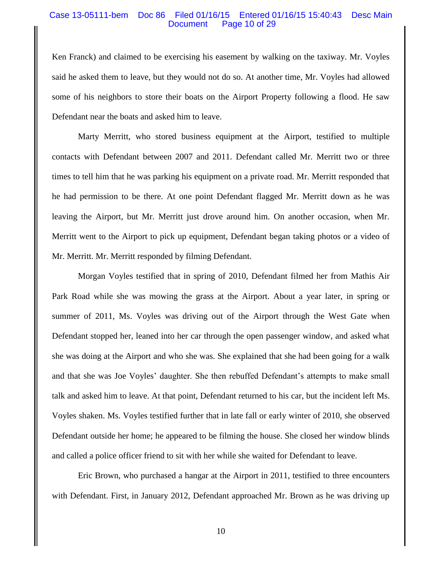#### Case 13-05111-bem Doc 86 Filed 01/16/15 Entered 01/16/15 15:40:43 Desc Main Document Page 10 of 29

Ken Franck) and claimed to be exercising his easement by walking on the taxiway. Mr. Voyles said he asked them to leave, but they would not do so. At another time, Mr. Voyles had allowed some of his neighbors to store their boats on the Airport Property following a flood. He saw Defendant near the boats and asked him to leave.

Marty Merritt, who stored business equipment at the Airport, testified to multiple contacts with Defendant between 2007 and 2011. Defendant called Mr. Merritt two or three times to tell him that he was parking his equipment on a private road. Mr. Merritt responded that he had permission to be there. At one point Defendant flagged Mr. Merritt down as he was leaving the Airport, but Mr. Merritt just drove around him. On another occasion, when Mr. Merritt went to the Airport to pick up equipment, Defendant began taking photos or a video of Mr. Merritt. Mr. Merritt responded by filming Defendant.

Morgan Voyles testified that in spring of 2010, Defendant filmed her from Mathis Air Park Road while she was mowing the grass at the Airport. About a year later, in spring or summer of 2011, Ms. Voyles was driving out of the Airport through the West Gate when Defendant stopped her, leaned into her car through the open passenger window, and asked what she was doing at the Airport and who she was. She explained that she had been going for a walk and that she was Joe Voyles' daughter. She then rebuffed Defendant's attempts to make small talk and asked him to leave. At that point, Defendant returned to his car, but the incident left Ms. Voyles shaken. Ms. Voyles testified further that in late fall or early winter of 2010, she observed Defendant outside her home; he appeared to be filming the house. She closed her window blinds and called a police officer friend to sit with her while she waited for Defendant to leave.

Eric Brown, who purchased a hangar at the Airport in 2011, testified to three encounters with Defendant. First, in January 2012, Defendant approached Mr. Brown as he was driving up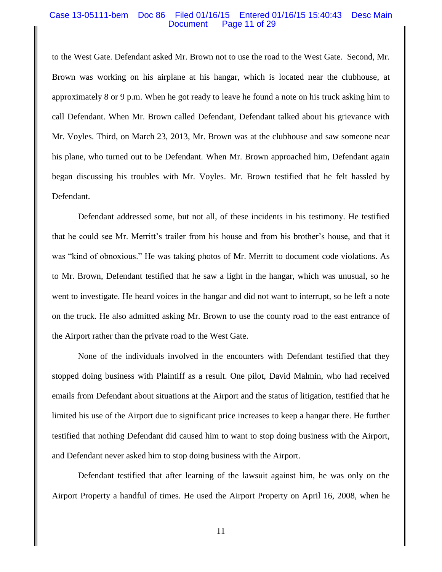#### Case 13-05111-bem Doc 86 Filed 01/16/15 Entered 01/16/15 15:40:43 Desc Main Document Page 11 of 29

to the West Gate. Defendant asked Mr. Brown not to use the road to the West Gate. Second, Mr. Brown was working on his airplane at his hangar, which is located near the clubhouse, at approximately 8 or 9 p.m. When he got ready to leave he found a note on his truck asking him to call Defendant. When Mr. Brown called Defendant, Defendant talked about his grievance with Mr. Voyles. Third, on March 23, 2013, Mr. Brown was at the clubhouse and saw someone near his plane, who turned out to be Defendant. When Mr. Brown approached him, Defendant again began discussing his troubles with Mr. Voyles. Mr. Brown testified that he felt hassled by Defendant.

Defendant addressed some, but not all, of these incidents in his testimony. He testified that he could see Mr. Merritt's trailer from his house and from his brother's house, and that it was "kind of obnoxious." He was taking photos of Mr. Merritt to document code violations. As to Mr. Brown, Defendant testified that he saw a light in the hangar, which was unusual, so he went to investigate. He heard voices in the hangar and did not want to interrupt, so he left a note on the truck. He also admitted asking Mr. Brown to use the county road to the east entrance of the Airport rather than the private road to the West Gate.

None of the individuals involved in the encounters with Defendant testified that they stopped doing business with Plaintiff as a result. One pilot, David Malmin, who had received emails from Defendant about situations at the Airport and the status of litigation, testified that he limited his use of the Airport due to significant price increases to keep a hangar there. He further testified that nothing Defendant did caused him to want to stop doing business with the Airport, and Defendant never asked him to stop doing business with the Airport.

Defendant testified that after learning of the lawsuit against him, he was only on the Airport Property a handful of times. He used the Airport Property on April 16, 2008, when he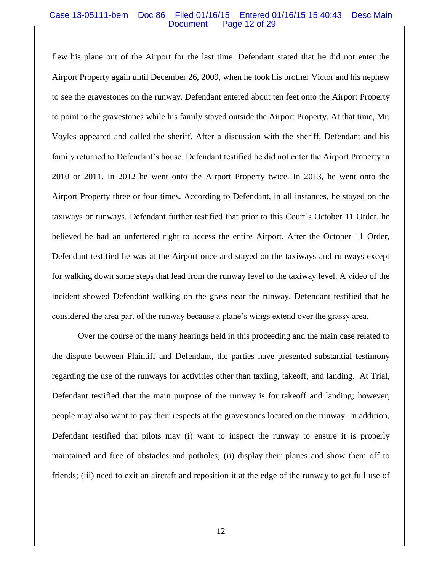#### Case 13-05111-bem Doc 86 Filed 01/16/15 Entered 01/16/15 15:40:43 Desc Main Document Page 12 of 29

flew his plane out of the Airport for the last time. Defendant stated that he did not enter the Airport Property again until December 26, 2009, when he took his brother Victor and his nephew to see the gravestones on the runway. Defendant entered about ten feet onto the Airport Property to point to the gravestones while his family stayed outside the Airport Property. At that time, Mr. Voyles appeared and called the sheriff. After a discussion with the sheriff, Defendant and his family returned to Defendant's house. Defendant testified he did not enter the Airport Property in 2010 or 2011. In 2012 he went onto the Airport Property twice. In 2013, he went onto the Airport Property three or four times. According to Defendant, in all instances, he stayed on the taxiways or runways. Defendant further testified that prior to this Court's October 11 Order, he believed he had an unfettered right to access the entire Airport. After the October 11 Order, Defendant testified he was at the Airport once and stayed on the taxiways and runways except for walking down some steps that lead from the runway level to the taxiway level. A video of the incident showed Defendant walking on the grass near the runway. Defendant testified that he considered the area part of the runway because a plane's wings extend over the grassy area.

Over the course of the many hearings held in this proceeding and the main case related to the dispute between Plaintiff and Defendant, the parties have presented substantial testimony regarding the use of the runways for activities other than taxiing, takeoff, and landing. At Trial, Defendant testified that the main purpose of the runway is for takeoff and landing; however, people may also want to pay their respects at the gravestones located on the runway. In addition, Defendant testified that pilots may (i) want to inspect the runway to ensure it is properly maintained and free of obstacles and potholes; (ii) display their planes and show them off to friends; (iii) need to exit an aircraft and reposition it at the edge of the runway to get full use of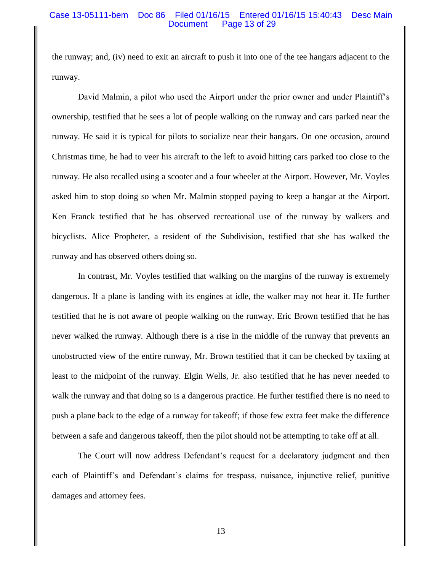#### Case 13-05111-bem Doc 86 Filed 01/16/15 Entered 01/16/15 15:40:43 Desc Main Document Page 13 of 29

the runway; and, (iv) need to exit an aircraft to push it into one of the tee hangars adjacent to the runway.

David Malmin, a pilot who used the Airport under the prior owner and under Plaintiff's ownership, testified that he sees a lot of people walking on the runway and cars parked near the runway. He said it is typical for pilots to socialize near their hangars. On one occasion, around Christmas time, he had to veer his aircraft to the left to avoid hitting cars parked too close to the runway. He also recalled using a scooter and a four wheeler at the Airport. However, Mr. Voyles asked him to stop doing so when Mr. Malmin stopped paying to keep a hangar at the Airport. Ken Franck testified that he has observed recreational use of the runway by walkers and bicyclists. Alice Propheter, a resident of the Subdivision, testified that she has walked the runway and has observed others doing so.

In contrast, Mr. Voyles testified that walking on the margins of the runway is extremely dangerous. If a plane is landing with its engines at idle, the walker may not hear it. He further testified that he is not aware of people walking on the runway. Eric Brown testified that he has never walked the runway. Although there is a rise in the middle of the runway that prevents an unobstructed view of the entire runway, Mr. Brown testified that it can be checked by taxiing at least to the midpoint of the runway. Elgin Wells, Jr. also testified that he has never needed to walk the runway and that doing so is a dangerous practice. He further testified there is no need to push a plane back to the edge of a runway for takeoff; if those few extra feet make the difference between a safe and dangerous takeoff, then the pilot should not be attempting to take off at all.

The Court will now address Defendant's request for a declaratory judgment and then each of Plaintiff's and Defendant's claims for trespass, nuisance, injunctive relief, punitive damages and attorney fees.

13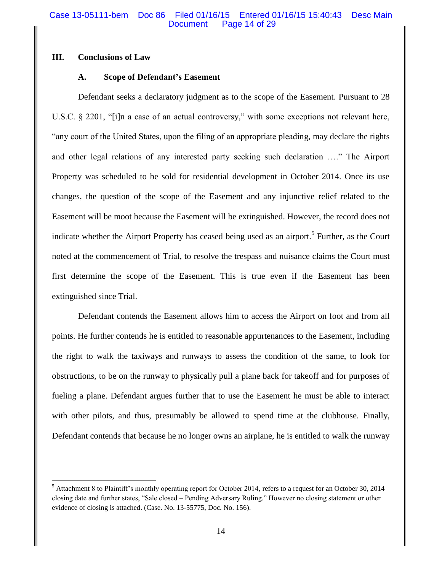## **III. Conclusions of Law**

 $\overline{\phantom{a}}$ 

## **A. Scope of Defendant's Easement**

Defendant seeks a declaratory judgment as to the scope of the Easement. Pursuant to 28 U.S.C. § 2201, "[i]n a case of an actual controversy," with some exceptions not relevant here, "any court of the United States, upon the filing of an appropriate pleading, may declare the rights and other legal relations of any interested party seeking such declaration …." The Airport Property was scheduled to be sold for residential development in October 2014. Once its use changes, the question of the scope of the Easement and any injunctive relief related to the Easement will be moot because the Easement will be extinguished. However, the record does not indicate whether the Airport Property has ceased being used as an airport.<sup>5</sup> Further, as the Court noted at the commencement of Trial, to resolve the trespass and nuisance claims the Court must first determine the scope of the Easement. This is true even if the Easement has been extinguished since Trial.

Defendant contends the Easement allows him to access the Airport on foot and from all points. He further contends he is entitled to reasonable appurtenances to the Easement, including the right to walk the taxiways and runways to assess the condition of the same, to look for obstructions, to be on the runway to physically pull a plane back for takeoff and for purposes of fueling a plane. Defendant argues further that to use the Easement he must be able to interact with other pilots, and thus, presumably be allowed to spend time at the clubhouse. Finally, Defendant contends that because he no longer owns an airplane, he is entitled to walk the runway

<sup>&</sup>lt;sup>5</sup> Attachment 8 to Plaintiff's monthly operating report for October 2014, refers to a request for an October 30, 2014 closing date and further states, "Sale closed – Pending Adversary Ruling." However no closing statement or other evidence of closing is attached. (Case. No. 13-55775, Doc. No. 156).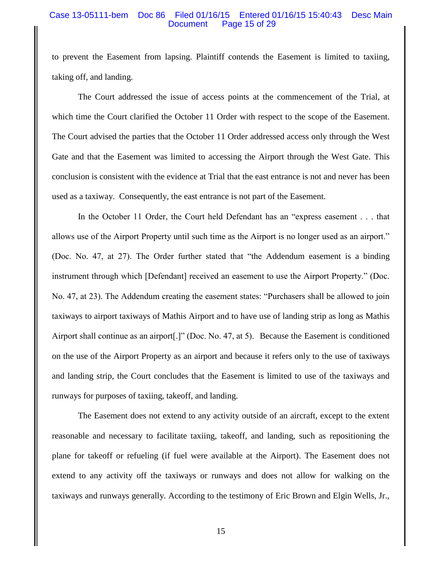### Case 13-05111-bem Doc 86 Filed 01/16/15 Entered 01/16/15 15:40:43 Desc Main Document Page 15 of 29

to prevent the Easement from lapsing. Plaintiff contends the Easement is limited to taxiing, taking off, and landing.

The Court addressed the issue of access points at the commencement of the Trial, at which time the Court clarified the October 11 Order with respect to the scope of the Easement. The Court advised the parties that the October 11 Order addressed access only through the West Gate and that the Easement was limited to accessing the Airport through the West Gate. This conclusion is consistent with the evidence at Trial that the east entrance is not and never has been used as a taxiway. Consequently, the east entrance is not part of the Easement.

In the October 11 Order, the Court held Defendant has an "express easement . . . that allows use of the Airport Property until such time as the Airport is no longer used as an airport." (Doc. No. 47, at 27). The Order further stated that "the Addendum easement is a binding instrument through which [Defendant] received an easement to use the Airport Property." (Doc. No. 47, at 23). The Addendum creating the easement states: "Purchasers shall be allowed to join taxiways to airport taxiways of Mathis Airport and to have use of landing strip as long as Mathis Airport shall continue as an airport[.]" (Doc. No. 47, at 5). Because the Easement is conditioned on the use of the Airport Property as an airport and because it refers only to the use of taxiways and landing strip, the Court concludes that the Easement is limited to use of the taxiways and runways for purposes of taxiing, takeoff, and landing.

The Easement does not extend to any activity outside of an aircraft, except to the extent reasonable and necessary to facilitate taxiing, takeoff, and landing, such as repositioning the plane for takeoff or refueling (if fuel were available at the Airport). The Easement does not extend to any activity off the taxiways or runways and does not allow for walking on the taxiways and runways generally. According to the testimony of Eric Brown and Elgin Wells, Jr.,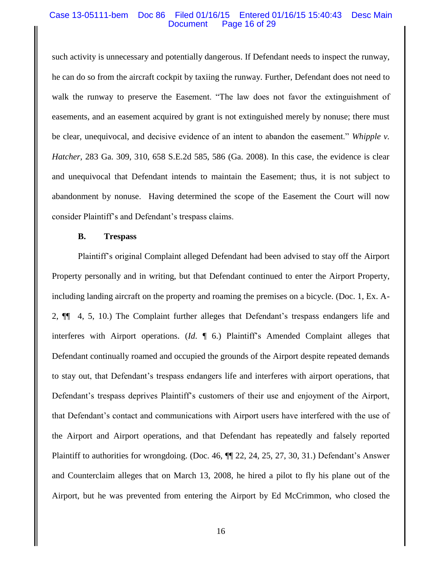### Case 13-05111-bem Doc 86 Filed 01/16/15 Entered 01/16/15 15:40:43 Desc Main Document Page 16 of 29

such activity is unnecessary and potentially dangerous. If Defendant needs to inspect the runway, he can do so from the aircraft cockpit by taxiing the runway. Further, Defendant does not need to walk the runway to preserve the Easement. "The law does not favor the extinguishment of easements, and an easement acquired by grant is not extinguished merely by nonuse; there must be clear, unequivocal, and decisive evidence of an intent to abandon the easement." *Whipple v. Hatcher*, 283 Ga. 309, 310, 658 S.E.2d 585, 586 (Ga. 2008). In this case, the evidence is clear and unequivocal that Defendant intends to maintain the Easement; thus, it is not subject to abandonment by nonuse. Having determined the scope of the Easement the Court will now consider Plaintiff's and Defendant's trespass claims.

#### **B. Trespass**

Plaintiff's original Complaint alleged Defendant had been advised to stay off the Airport Property personally and in writing, but that Defendant continued to enter the Airport Property, including landing aircraft on the property and roaming the premises on a bicycle. (Doc. 1, Ex. A-2, ¶¶ 4, 5, 10.) The Complaint further alleges that Defendant's trespass endangers life and interferes with Airport operations. (*Id*. ¶ 6.) Plaintiff's Amended Complaint alleges that Defendant continually roamed and occupied the grounds of the Airport despite repeated demands to stay out, that Defendant's trespass endangers life and interferes with airport operations, that Defendant's trespass deprives Plaintiff's customers of their use and enjoyment of the Airport, that Defendant's contact and communications with Airport users have interfered with the use of the Airport and Airport operations, and that Defendant has repeatedly and falsely reported Plaintiff to authorities for wrongdoing. (Doc. 46, ¶¶ 22, 24, 25, 27, 30, 31.) Defendant's Answer and Counterclaim alleges that on March 13, 2008, he hired a pilot to fly his plane out of the Airport, but he was prevented from entering the Airport by Ed McCrimmon, who closed the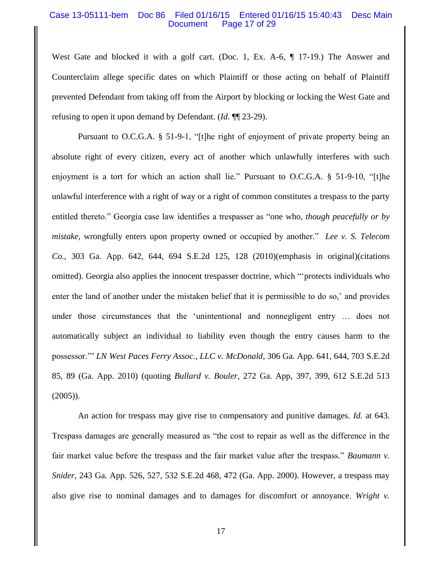### Case 13-05111-bem Doc 86 Filed 01/16/15 Entered 01/16/15 15:40:43 Desc Main Document Page 17 of 29

West Gate and blocked it with a golf cart. (Doc. 1, Ex. A-6,  $\P$  17-19.) The Answer and Counterclaim allege specific dates on which Plaintiff or those acting on behalf of Plaintiff prevented Defendant from taking off from the Airport by blocking or locking the West Gate and refusing to open it upon demand by Defendant. (*Id.* ¶¶ 23-29).

Pursuant to O.C.G.A. § 51-9-1, "[t]he right of enjoyment of private property being an absolute right of every citizen, every act of another which unlawfully interferes with such enjoyment is a tort for which an action shall lie." Pursuant to O.C.G.A. § 51-9-10, "[t]he unlawful interference with a right of way or a right of common constitutes a trespass to the party entitled thereto." Georgia case law identifies a trespasser as "one who, *though peacefully or by mistake,* wrongfully enters upon property owned or occupied by another." *Lee v. S. Telecom Co.,* 303 Ga. App. 642, 644, 694 S.E.2d 125, 128 (2010)(emphasis in original)(citations omitted). Georgia also applies the innocent trespasser doctrine, which "'protects individuals who enter the land of another under the mistaken belief that it is permissible to do so,' and provides under those circumstances that the 'unintentional and nonnegligent entry … does not automatically subject an individual to liability even though the entry causes harm to the possessor.'" *LN West Paces Ferry Assoc., LLC v. McDonald*, 306 Ga. App. 641, 644, 703 S.E.2d 85, 89 (Ga. App. 2010) (quoting *Bullard v. Bouler*, 272 Ga. App, 397, 399, 612 S.E.2d 513 (2005)).

An action for trespass may give rise to compensatory and punitive damages. *Id.* at 643. Trespass damages are generally measured as "the cost to repair as well as the difference in the fair market value before the trespass and the fair market value after the trespass." *Baumann v. Snider*, 243 Ga. App. 526, 527, 532 S.E.2d 468, 472 (Ga. App. 2000). However, a trespass may also give rise to nominal damages and to damages for discomfort or annoyance. *Wright v.*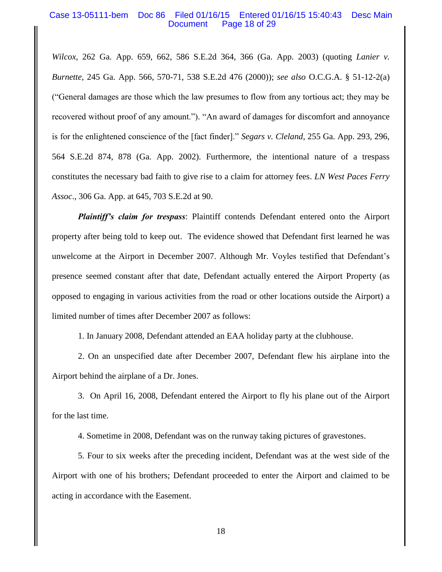## Case 13-05111-bem Doc 86 Filed 01/16/15 Entered 01/16/15 15:40:43 Desc Main Document Page 18 of 29

*Wilcox*, 262 Ga. App. 659, 662, 586 S.E.2d 364, 366 (Ga. App. 2003) (quoting *Lanier v. Burnette*, 245 Ga. App. 566, 570-71, 538 S.E.2d 476 (2000)); *see also* O.C.G.A. § 51-12-2(a) ("General damages are those which the law presumes to flow from any tortious act; they may be recovered without proof of any amount."). "An award of damages for discomfort and annoyance is for the enlightened conscience of the [fact finder]." *Segars v. Cleland*, 255 Ga. App. 293, 296, 564 S.E.2d 874, 878 (Ga. App. 2002). Furthermore, the intentional nature of a trespass constitutes the necessary bad faith to give rise to a claim for attorney fees. *LN West Paces Ferry Assoc*., 306 Ga. App. at 645, 703 S.E.2d at 90.

*Plaintiff's claim for trespass*: Plaintiff contends Defendant entered onto the Airport property after being told to keep out. The evidence showed that Defendant first learned he was unwelcome at the Airport in December 2007. Although Mr. Voyles testified that Defendant's presence seemed constant after that date, Defendant actually entered the Airport Property (as opposed to engaging in various activities from the road or other locations outside the Airport) a limited number of times after December 2007 as follows:

1. In January 2008, Defendant attended an EAA holiday party at the clubhouse.

2. On an unspecified date after December 2007, Defendant flew his airplane into the Airport behind the airplane of a Dr. Jones.

3. On April 16, 2008, Defendant entered the Airport to fly his plane out of the Airport for the last time.

4. Sometime in 2008, Defendant was on the runway taking pictures of gravestones.

5. Four to six weeks after the preceding incident, Defendant was at the west side of the Airport with one of his brothers; Defendant proceeded to enter the Airport and claimed to be acting in accordance with the Easement.

18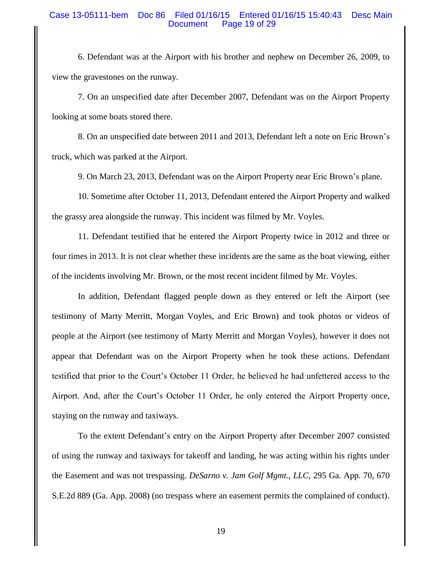## Case 13-05111-bem Doc 86 Filed 01/16/15 Entered 01/16/15 15:40:43 Desc Main Document Page 19 of 29

6. Defendant was at the Airport with his brother and nephew on December 26, 2009, to view the gravestones on the runway.

7. On an unspecified date after December 2007, Defendant was on the Airport Property looking at some boats stored there.

8. On an unspecified date between 2011 and 2013, Defendant left a note on Eric Brown's truck, which was parked at the Airport.

9. On March 23, 2013, Defendant was on the Airport Property near Eric Brown's plane.

10. Sometime after October 11, 2013, Defendant entered the Airport Property and walked the grassy area alongside the runway. This incident was filmed by Mr. Voyles.

11. Defendant testified that he entered the Airport Property twice in 2012 and three or four times in 2013. It is not clear whether these incidents are the same as the boat viewing, either of the incidents involving Mr. Brown, or the most recent incident filmed by Mr. Voyles.

In addition, Defendant flagged people down as they entered or left the Airport (see testimony of Marty Merritt, Morgan Voyles, and Eric Brown) and took photos or videos of people at the Airport (see testimony of Marty Merritt and Morgan Voyles), however it does not appear that Defendant was on the Airport Property when he took these actions. Defendant testified that prior to the Court's October 11 Order, he believed he had unfettered access to the Airport. And, after the Court's October 11 Order, he only entered the Airport Property once, staying on the runway and taxiways.

To the extent Defendant's entry on the Airport Property after December 2007 consisted of using the runway and taxiways for takeoff and landing, he was acting within his rights under the Easement and was not trespassing. *DeSarno v. Jam Golf Mgmt., LLC*, 295 Ga. App. 70, 670 S.E.2d 889 (Ga. App. 2008) (no trespass where an easement permits the complained of conduct).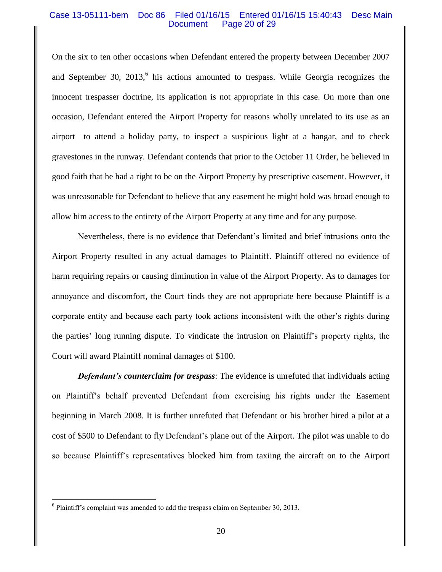### Case 13-05111-bem Doc 86 Filed 01/16/15 Entered 01/16/15 15:40:43 Desc Main Document Page 20 of 29

On the six to ten other occasions when Defendant entered the property between December 2007 and September 30,  $2013$ , his actions amounted to trespass. While Georgia recognizes the innocent trespasser doctrine, its application is not appropriate in this case. On more than one occasion, Defendant entered the Airport Property for reasons wholly unrelated to its use as an airport—to attend a holiday party, to inspect a suspicious light at a hangar, and to check gravestones in the runway. Defendant contends that prior to the October 11 Order, he believed in good faith that he had a right to be on the Airport Property by prescriptive easement. However, it was unreasonable for Defendant to believe that any easement he might hold was broad enough to allow him access to the entirety of the Airport Property at any time and for any purpose.

Nevertheless, there is no evidence that Defendant's limited and brief intrusions onto the Airport Property resulted in any actual damages to Plaintiff. Plaintiff offered no evidence of harm requiring repairs or causing diminution in value of the Airport Property. As to damages for annoyance and discomfort, the Court finds they are not appropriate here because Plaintiff is a corporate entity and because each party took actions inconsistent with the other's rights during the parties' long running dispute. To vindicate the intrusion on Plaintiff's property rights, the Court will award Plaintiff nominal damages of \$100.

*Defendant's counterclaim for trespass*: The evidence is unrefuted that individuals acting on Plaintiff's behalf prevented Defendant from exercising his rights under the Easement beginning in March 2008. It is further unrefuted that Defendant or his brother hired a pilot at a cost of \$500 to Defendant to fly Defendant's plane out of the Airport. The pilot was unable to do so because Plaintiff's representatives blocked him from taxiing the aircraft on to the Airport

 $\overline{\phantom{a}}$ 

<sup>&</sup>lt;sup>6</sup> Plaintiff's complaint was amended to add the trespass claim on September 30, 2013.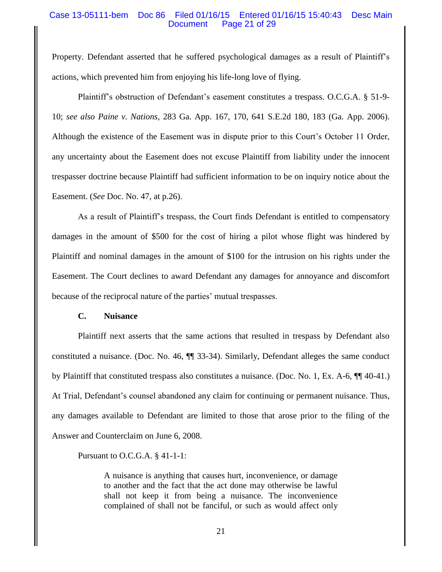## Case 13-05111-bem Doc 86 Filed 01/16/15 Entered 01/16/15 15:40:43 Desc Main Page 21 of 29

Property. Defendant asserted that he suffered psychological damages as a result of Plaintiff's actions, which prevented him from enjoying his life-long love of flying.

Plaintiff's obstruction of Defendant's easement constitutes a trespass. O.C.G.A. § 51-9- 10; *see also Paine v. Nations*, 283 Ga. App. 167, 170, 641 S.E.2d 180, 183 (Ga. App. 2006). Although the existence of the Easement was in dispute prior to this Court's October 11 Order, any uncertainty about the Easement does not excuse Plaintiff from liability under the innocent trespasser doctrine because Plaintiff had sufficient information to be on inquiry notice about the Easement. (*See* Doc. No. 47, at p.26).

As a result of Plaintiff's trespass, the Court finds Defendant is entitled to compensatory damages in the amount of \$500 for the cost of hiring a pilot whose flight was hindered by Plaintiff and nominal damages in the amount of \$100 for the intrusion on his rights under the Easement. The Court declines to award Defendant any damages for annoyance and discomfort because of the reciprocal nature of the parties' mutual trespasses.

## **C. Nuisance**

Plaintiff next asserts that the same actions that resulted in trespass by Defendant also constituted a nuisance. (Doc. No. 46, ¶¶ 33-34). Similarly, Defendant alleges the same conduct by Plaintiff that constituted trespass also constitutes a nuisance. (Doc. No. 1, Ex. A-6, ¶¶ 40-41.) At Trial, Defendant's counsel abandoned any claim for continuing or permanent nuisance. Thus, any damages available to Defendant are limited to those that arose prior to the filing of the Answer and Counterclaim on June 6, 2008.

Pursuant to O.C.G.A. § 41-1-1:

A nuisance is anything that causes hurt, inconvenience, or damage to another and the fact that the act done may otherwise be lawful shall not keep it from being a nuisance. The inconvenience complained of shall not be fanciful, or such as would affect only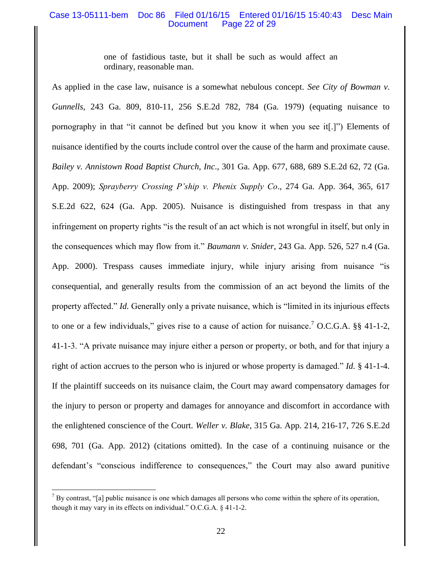## Case 13-05111-bem Doc 86 Filed 01/16/15 Entered 01/16/15 15:40:43 Desc Main Document Page 22 of 29

one of fastidious taste, but it shall be such as would affect an ordinary, reasonable man.

As applied in the case law, nuisance is a somewhat nebulous concept. *See City of Bowman v. Gunnells*, 243 Ga. 809, 810-11, 256 S.E.2d 782, 784 (Ga. 1979) (equating nuisance to pornography in that "it cannot be defined but you know it when you see it[.]") Elements of nuisance identified by the courts include control over the cause of the harm and proximate cause. *Bailey v. Annistown Road Baptist Church, Inc*., 301 Ga. App. 677, 688, 689 S.E.2d 62, 72 (Ga. App. 2009); *Sprayberry Crossing P'ship v. Phenix Supply Co*., 274 Ga. App. 364, 365, 617 S.E.2d 622, 624 (Ga. App. 2005). Nuisance is distinguished from trespass in that any infringement on property rights "is the result of an act which is not wrongful in itself, but only in the consequences which may flow from it." *Baumann v. Snider*, 243 Ga. App. 526, 527 n.4 (Ga. App. 2000). Trespass causes immediate injury, while injury arising from nuisance "is consequential, and generally results from the commission of an act beyond the limits of the property affected." *Id.* Generally only a private nuisance, which is "limited in its injurious effects to one or a few individuals," gives rise to a cause of action for nuisance.<sup>7</sup> O.C.G.A.  $\S$ § 41-1-2, 41-1-3. "A private nuisance may injure either a person or property, or both, and for that injury a right of action accrues to the person who is injured or whose property is damaged." *Id.* § 41-1-4. If the plaintiff succeeds on its nuisance claim, the Court may award compensatory damages for the injury to person or property and damages for annoyance and discomfort in accordance with the enlightened conscience of the Court. *Weller v. Blake*, 315 Ga. App. 214, 216-17, 726 S.E.2d 698, 701 (Ga. App. 2012) (citations omitted). In the case of a continuing nuisance or the defendant's "conscious indifference to consequences," the Court may also award punitive

 $\overline{a}$ 

 $<sup>7</sup>$  By contrast, "[a] public nuisance is one which damages all persons who come within the sphere of its operation,</sup> though it may vary in its effects on individual." O.C.G.A. § 41-1-2.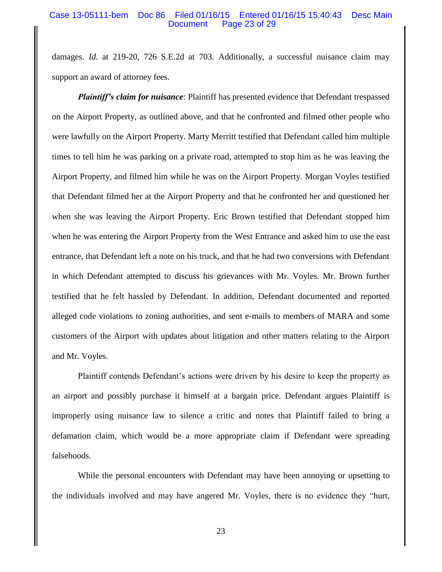### Case 13-05111-bem Doc 86 Filed 01/16/15 Entered 01/16/15 15:40:43 Desc Main Document Page 23 of 29

damages. *Id.* at 219-20, 726 S.E.2d at 703. Additionally, a successful nuisance claim may support an award of attorney fees.

*Plaintiff's claim for nuisance*: Plaintiff has presented evidence that Defendant trespassed on the Airport Property, as outlined above, and that he confronted and filmed other people who were lawfully on the Airport Property. Marty Merritt testified that Defendant called him multiple times to tell him he was parking on a private road, attempted to stop him as he was leaving the Airport Property, and filmed him while he was on the Airport Property. Morgan Voyles testified that Defendant filmed her at the Airport Property and that he confronted her and questioned her when she was leaving the Airport Property. Eric Brown testified that Defendant stopped him when he was entering the Airport Property from the West Entrance and asked him to use the east entrance, that Defendant left a note on his truck, and that he had two conversions with Defendant in which Defendant attempted to discuss his grievances with Mr. Voyles. Mr. Brown further testified that he felt hassled by Defendant. In addition, Defendant documented and reported alleged code violations to zoning authorities, and sent e-mails to members of MARA and some customers of the Airport with updates about litigation and other matters relating to the Airport and Mr. Voyles.

Plaintiff contends Defendant's actions were driven by his desire to keep the property as an airport and possibly purchase it himself at a bargain price. Defendant argues Plaintiff is improperly using nuisance law to silence a critic and notes that Plaintiff failed to bring a defamation claim, which would be a more appropriate claim if Defendant were spreading falsehoods.

While the personal encounters with Defendant may have been annoying or upsetting to the individuals involved and may have angered Mr. Voyles, there is no evidence they "hurt,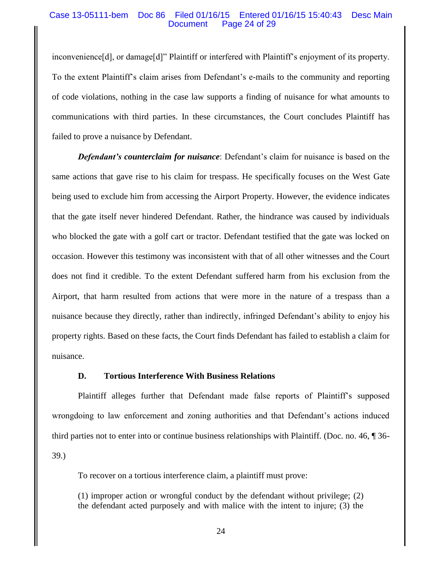### Case 13-05111-bem Doc 86 Filed 01/16/15 Entered 01/16/15 15:40:43 Desc Main Document Page 24 of 29

inconvenience[d], or damage[d]" Plaintiff or interfered with Plaintiff's enjoyment of its property. To the extent Plaintiff's claim arises from Defendant's e-mails to the community and reporting of code violations, nothing in the case law supports a finding of nuisance for what amounts to communications with third parties. In these circumstances, the Court concludes Plaintiff has failed to prove a nuisance by Defendant.

*Defendant's counterclaim for nuisance*: Defendant's claim for nuisance is based on the same actions that gave rise to his claim for trespass. He specifically focuses on the West Gate being used to exclude him from accessing the Airport Property. However, the evidence indicates that the gate itself never hindered Defendant. Rather, the hindrance was caused by individuals who blocked the gate with a golf cart or tractor. Defendant testified that the gate was locked on occasion. However this testimony was inconsistent with that of all other witnesses and the Court does not find it credible. To the extent Defendant suffered harm from his exclusion from the Airport, that harm resulted from actions that were more in the nature of a trespass than a nuisance because they directly, rather than indirectly, infringed Defendant's ability to enjoy his property rights. Based on these facts, the Court finds Defendant has failed to establish a claim for nuisance.

## **D. Tortious Interference With Business Relations**

Plaintiff alleges further that Defendant made false reports of Plaintiff's supposed wrongdoing to law enforcement and zoning authorities and that Defendant's actions induced third parties not to enter into or continue business relationships with Plaintiff. (Doc. no. 46, ¶ 36- 39.)

To recover on a tortious interference claim, a plaintiff must prove:

(1) improper action or wrongful conduct by the defendant without privilege; (2) the defendant acted purposely and with malice with the intent to injure; (3) the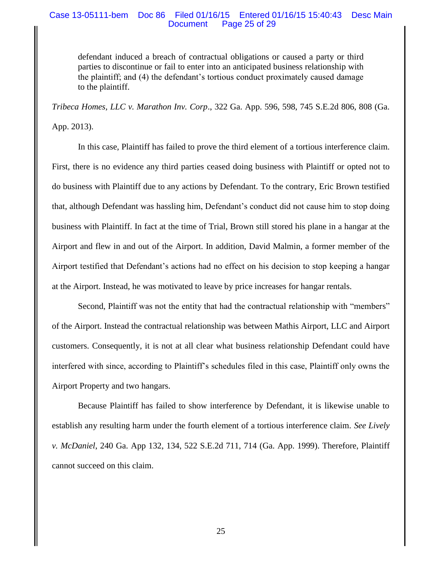## Case 13-05111-bem Doc 86 Filed 01/16/15 Entered 01/16/15 15:40:43 Desc Main Page 25 of 29

defendant induced a breach of contractual obligations or caused a party or third parties to discontinue or fail to enter into an anticipated business relationship with the plaintiff; and (4) the defendant's tortious conduct proximately caused damage to the plaintiff.

*Tribeca Homes, LLC v. Marathon Inv. Corp*., 322 Ga. App. 596, 598, 745 S.E.2d 806, 808 (Ga. App. 2013).

In this case, Plaintiff has failed to prove the third element of a tortious interference claim. First, there is no evidence any third parties ceased doing business with Plaintiff or opted not to do business with Plaintiff due to any actions by Defendant. To the contrary, Eric Brown testified that, although Defendant was hassling him, Defendant's conduct did not cause him to stop doing business with Plaintiff. In fact at the time of Trial, Brown still stored his plane in a hangar at the Airport and flew in and out of the Airport. In addition, David Malmin, a former member of the Airport testified that Defendant's actions had no effect on his decision to stop keeping a hangar at the Airport. Instead, he was motivated to leave by price increases for hangar rentals.

Second, Plaintiff was not the entity that had the contractual relationship with "members" of the Airport. Instead the contractual relationship was between Mathis Airport, LLC and Airport customers. Consequently, it is not at all clear what business relationship Defendant could have interfered with since, according to Plaintiff's schedules filed in this case, Plaintiff only owns the Airport Property and two hangars.

Because Plaintiff has failed to show interference by Defendant, it is likewise unable to establish any resulting harm under the fourth element of a tortious interference claim. *See Lively v. McDaniel*, 240 Ga. App 132, 134, 522 S.E.2d 711, 714 (Ga. App. 1999). Therefore, Plaintiff cannot succeed on this claim.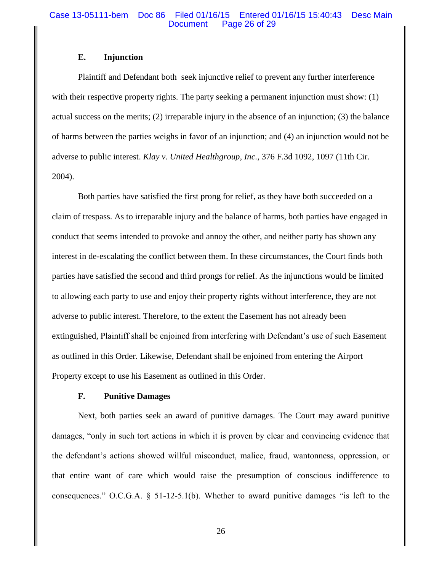## Case 13-05111-bem Doc 86 Filed 01/16/15 Entered 01/16/15 15:40:43 Desc Main Document Page 26 of 29

## **E. Injunction**

Plaintiff and Defendant both seek injunctive relief to prevent any further interference with their respective property rights. The party seeking a permanent injunction must show: (1) actual success on the merits; (2) irreparable injury in the absence of an injunction; (3) the balance of harms between the parties weighs in favor of an injunction; and (4) an injunction would not be adverse to public interest. *Klay v. United Healthgroup, Inc.*, 376 F.3d 1092, 1097 (11th Cir. 2004).

Both parties have satisfied the first prong for relief, as they have both succeeded on a claim of trespass. As to irreparable injury and the balance of harms, both parties have engaged in conduct that seems intended to provoke and annoy the other, and neither party has shown any interest in de-escalating the conflict between them. In these circumstances, the Court finds both parties have satisfied the second and third prongs for relief. As the injunctions would be limited to allowing each party to use and enjoy their property rights without interference, they are not adverse to public interest. Therefore, to the extent the Easement has not already been extinguished, Plaintiff shall be enjoined from interfering with Defendant's use of such Easement as outlined in this Order. Likewise, Defendant shall be enjoined from entering the Airport Property except to use his Easement as outlined in this Order.

## **F. Punitive Damages**

Next, both parties seek an award of punitive damages. The Court may award punitive damages, "only in such tort actions in which it is proven by clear and convincing evidence that the defendant's actions showed willful misconduct, malice, fraud, wantonness, oppression, or that entire want of care which would raise the presumption of conscious indifference to consequences." O.C.G.A. § 51-12-5.1(b). Whether to award punitive damages "is left to the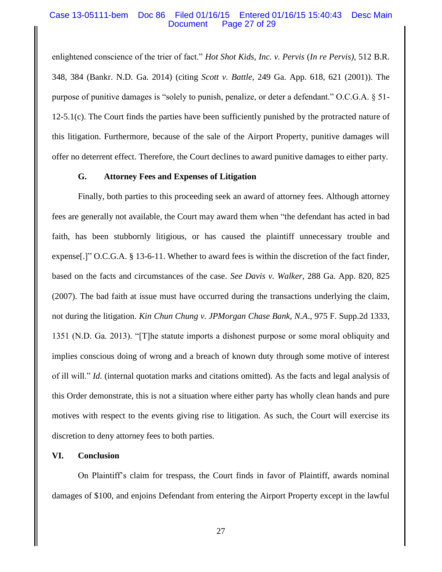## Case 13-05111-bem Doc 86 Filed 01/16/15 Entered 01/16/15 15:40:43 Desc Main Document Page 27 of 29

enlightened conscience of the trier of fact." *Hot Shot Kids, Inc. v. Pervis* (*In re Pervis),* 512 B.R. 348, 384 (Bankr. N.D. Ga. 2014) (citing *Scott v. Battle*, 249 Ga. App. 618, 621 (2001)). The purpose of punitive damages is "solely to punish, penalize, or deter a defendant." O.C.G.A. § 51-  $12-5.1(c)$ . The Court finds the parties have been sufficiently punished by the protracted nature of this litigation. Furthermore, because of the sale of the Airport Property, punitive damages will offer no deterrent effect. Therefore, the Court declines to award punitive damages to either party.

### **G. Attorney Fees and Expenses of Litigation**

Finally, both parties to this proceeding seek an award of attorney fees. Although attorney fees are generally not available, the Court may award them when "the defendant has acted in bad faith, has been stubbornly litigious, or has caused the plaintiff unnecessary trouble and expense[.]" O.C.G.A. § 13-6-11. Whether to award fees is within the discretion of the fact finder, based on the facts and circumstances of the case. *See Davis v. Walker*, 288 Ga. App. 820, 825 (2007). The bad faith at issue must have occurred during the transactions underlying the claim, not during the litigation. *Kin Chun Chung v. JPMorgan Chase Bank, N.A*., 975 F. Supp.2d 1333, 1351 (N.D. Ga. 2013). "[T]he statute imports a dishonest purpose or some moral obliquity and implies conscious doing of wrong and a breach of known duty through some motive of interest of ill will." *Id.* (internal quotation marks and citations omitted). As the facts and legal analysis of this Order demonstrate, this is not a situation where either party has wholly clean hands and pure motives with respect to the events giving rise to litigation. As such, the Court will exercise its discretion to deny attorney fees to both parties.

## **VI. Conclusion**

On Plaintiff's claim for trespass, the Court finds in favor of Plaintiff, awards nominal damages of \$100, and enjoins Defendant from entering the Airport Property except in the lawful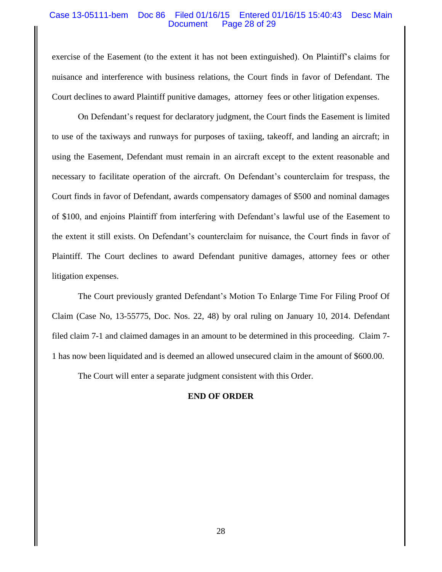## Case 13-05111-bem Doc 86 Filed 01/16/15 Entered 01/16/15 15:40:43 Desc Main Document Page 28 of 29

exercise of the Easement (to the extent it has not been extinguished). On Plaintiff's claims for nuisance and interference with business relations, the Court finds in favor of Defendant. The Court declines to award Plaintiff punitive damages, attorney fees or other litigation expenses.

On Defendant's request for declaratory judgment, the Court finds the Easement is limited to use of the taxiways and runways for purposes of taxiing, takeoff, and landing an aircraft; in using the Easement, Defendant must remain in an aircraft except to the extent reasonable and necessary to facilitate operation of the aircraft. On Defendant's counterclaim for trespass, the Court finds in favor of Defendant, awards compensatory damages of \$500 and nominal damages of \$100, and enjoins Plaintiff from interfering with Defendant's lawful use of the Easement to the extent it still exists. On Defendant's counterclaim for nuisance, the Court finds in favor of Plaintiff. The Court declines to award Defendant punitive damages, attorney fees or other litigation expenses.

The Court previously granted Defendant's Motion To Enlarge Time For Filing Proof Of Claim (Case No, 13-55775, Doc. Nos. 22, 48) by oral ruling on January 10, 2014. Defendant filed claim 7-1 and claimed damages in an amount to be determined in this proceeding. Claim 7- 1 has now been liquidated and is deemed an allowed unsecured claim in the amount of \$600.00.

The Court will enter a separate judgment consistent with this Order.

## **END OF ORDER**